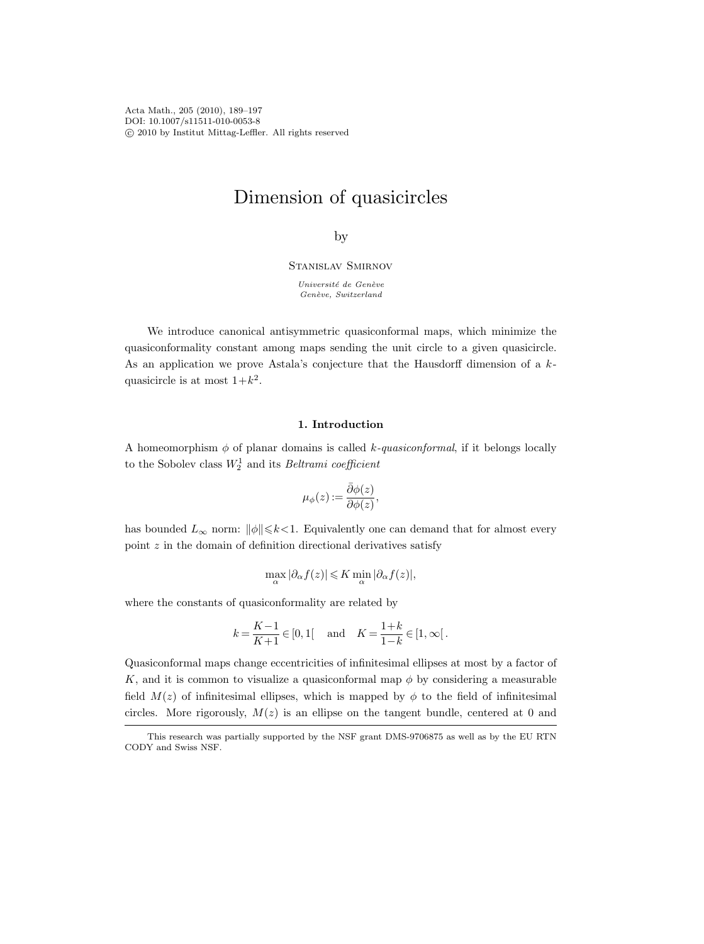Acta Math., 205 (2010), 189–197 DOI: 10.1007/s11511-010-0053-8 c 2010 by Institut Mittag-Leffler. All rights reserved

# Dimension of quasicircles

by

Stanislav Smirnov

Université de Genève  $Gen\`{e}ve,$  Switzerland

We introduce canonical antisymmetric quasiconformal maps, which minimize the quasiconformality constant among maps sending the unit circle to a given quasicircle. As an application we prove Astala's conjecture that the Hausdorff dimension of a  $k$ quasicircle is at most  $1+k^2$ .

# 1. Introduction

A homeomorphism  $\phi$  of planar domains is called k-quasiconformal, if it belongs locally to the Sobolev class  $W_2^1$  and its *Beltrami coefficient* 

$$
\mu_{\phi}(z) := \frac{\bar{\partial}\phi(z)}{\partial\phi(z)},
$$

has bounded  $L_{\infty}$  norm:  $\|\phi\|\leq k<1$ . Equivalently one can demand that for almost every point  $z$  in the domain of definition directional derivatives satisfy

$$
\max_\alpha |\partial_\alpha f(z)| \leqslant K \min_\alpha |\partial_\alpha f(z)|,
$$

where the constants of quasiconformality are related by

$$
k = \frac{K-1}{K+1} \in [0, 1[
$$
 and  $K = \frac{1+k}{1-k} \in [1, \infty[$ .

Quasiconformal maps change eccentricities of infinitesimal ellipses at most by a factor of K, and it is common to visualize a quasiconformal map  $\phi$  by considering a measurable field  $M(z)$  of infinitesimal ellipses, which is mapped by  $\phi$  to the field of infinitesimal circles. More rigorously,  $M(z)$  is an ellipse on the tangent bundle, centered at 0 and

This research was partially supported by the NSF grant DMS-9706875 as well as by the EU RTN CODY and Swiss NSF.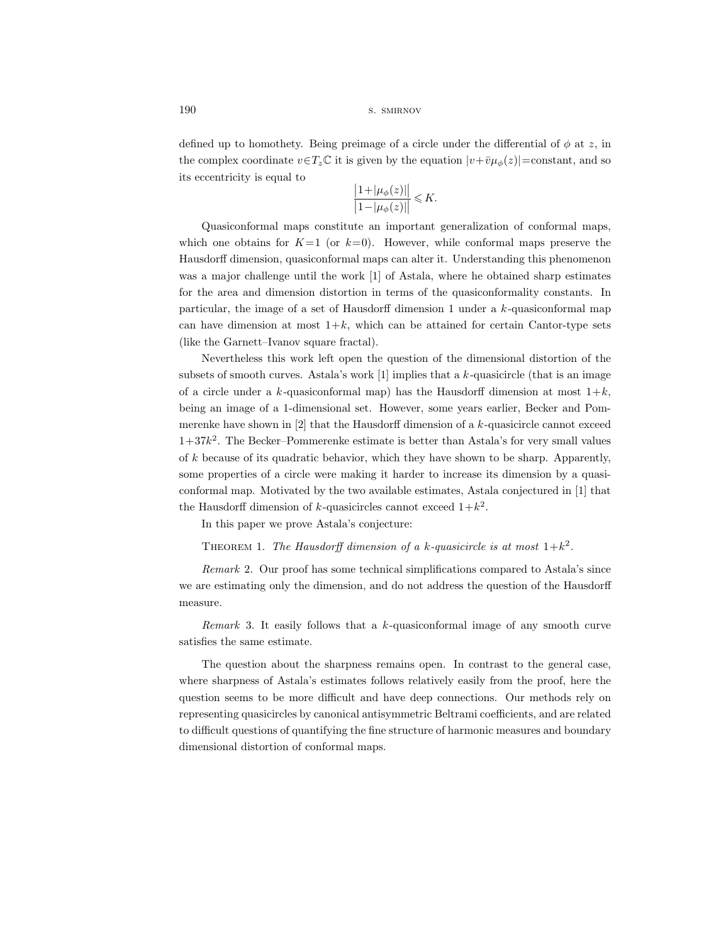### 190 s. SMIRNOV

defined up to homothety. Being preimage of a circle under the differential of  $\phi$  at z, in the complex coordinate  $v \in T_z \mathbb{C}$  it is given by the equation  $|v+\overline{v}\mu_{\phi}(z)|$  = constant, and so its eccentricity is equal to

$$
\frac{\left|1+|\mu_{\phi}(z)|\right|}{\left|1-|\mu_{\phi}(z)|\right|} \leq K.
$$

Quasiconformal maps constitute an important generalization of conformal maps, which one obtains for  $K=1$  (or  $k=0$ ). However, while conformal maps preserve the Hausdorff dimension, quasiconformal maps can alter it. Understanding this phenomenon was a major challenge until the work [1] of Astala, where he obtained sharp estimates for the area and dimension distortion in terms of the quasiconformality constants. In particular, the image of a set of Hausdorff dimension 1 under a k-quasiconformal map can have dimension at most  $1+k$ , which can be attained for certain Cantor-type sets (like the Garnett–Ivanov square fractal).

Nevertheless this work left open the question of the dimensional distortion of the subsets of smooth curves. Astala's work [1] implies that a  $k$ -quasicircle (that is an image of a circle under a k-quasiconformal map) has the Hausdorff dimension at most  $1+k$ , being an image of a 1-dimensional set. However, some years earlier, Becker and Pommerenke have shown in  $[2]$  that the Hausdorff dimension of a k-quasicircle cannot exceed  $1+37k^2$ . The Becker–Pommerenke estimate is better than Astala's for very small values of k because of its quadratic behavior, which they have shown to be sharp. Apparently, some properties of a circle were making it harder to increase its dimension by a quasiconformal map. Motivated by the two available estimates, Astala conjectured in [1] that the Hausdorff dimension of k-quasicircles cannot exceed  $1+k^2$ .

In this paper we prove Astala's conjecture:

THEOREM 1. The Hausdorff dimension of a k-quasicircle is at most  $1+k^2$ .

Remark 2. Our proof has some technical simplifications compared to Astala's since we are estimating only the dimension, and do not address the question of the Hausdorff measure.

*Remark* 3. It easily follows that a  $k$ -quasiconformal image of any smooth curve satisfies the same estimate.

The question about the sharpness remains open. In contrast to the general case, where sharpness of Astala's estimates follows relatively easily from the proof, here the question seems to be more difficult and have deep connections. Our methods rely on representing quasicircles by canonical antisymmetric Beltrami coefficients, and are related to difficult questions of quantifying the fine structure of harmonic measures and boundary dimensional distortion of conformal maps.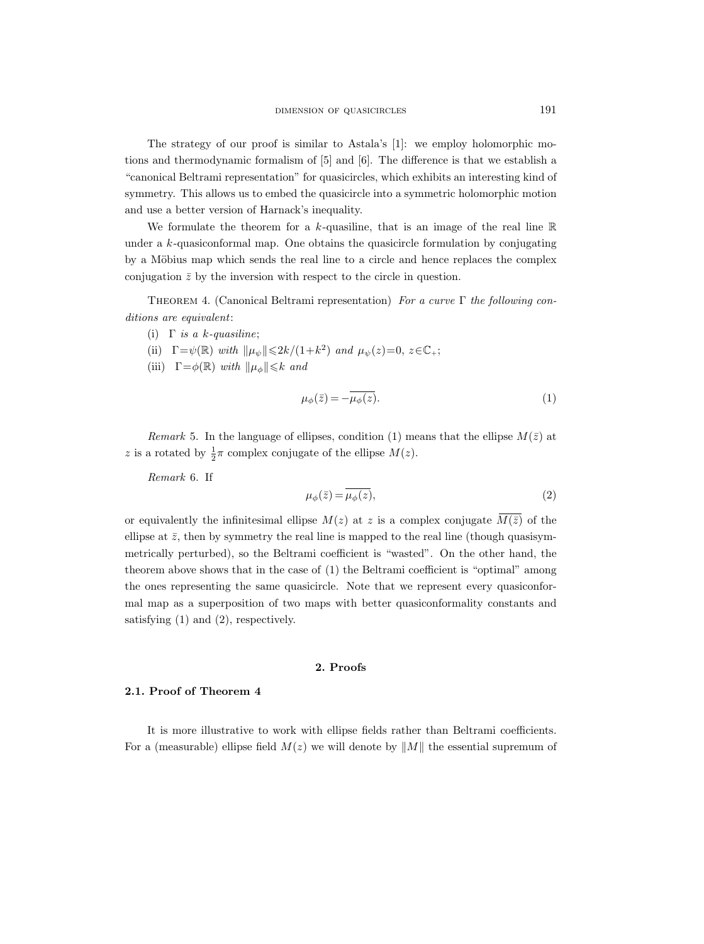The strategy of our proof is similar to Astala's [1]: we employ holomorphic motions and thermodynamic formalism of [5] and [6]. The difference is that we establish a "canonical Beltrami representation" for quasicircles, which exhibits an interesting kind of symmetry. This allows us to embed the quasicircle into a symmetric holomorphic motion and use a better version of Harnack's inequality.

We formulate the theorem for a k-quasiline, that is an image of the real line  $\mathbb R$ under a k-quasiconformal map. One obtains the quasicircle formulation by conjugating by a Möbius map which sends the real line to a circle and hence replaces the complex conjugation  $\bar{z}$  by the inversion with respect to the circle in question.

THEOREM 4. (Canonical Beltrami representation) For a curve  $\Gamma$  the following conditions are equivalent:

- (i)  $\Gamma$  is a k-quasiline;
- (ii)  $\Gamma = \psi(\mathbb{R})$  with  $\|\mu_{\psi}\| \leq 2k/(1+k^2)$  and  $\mu_{\psi}(z)=0, z \in \mathbb{C}_{+}$ ;
- (iii)  $\Gamma = \phi(\mathbb{R})$  with  $\|\mu_{\phi}\| \leq k$  and

$$
\mu_{\phi}(\bar{z}) = -\overline{\mu_{\phi}(z)}.
$$
\n(1)

Remark 5. In the language of ellipses, condition (1) means that the ellipse  $M(\bar{z})$  at z is a rotated by  $\frac{1}{2}\pi$  complex conjugate of the ellipse  $M(z)$ .

Remark 6. If

$$
\mu_{\phi}(\bar{z}) = \overline{\mu_{\phi}(z)},\tag{2}
$$

or equivalently the infinitesimal ellipse  $M(z)$  at z is a complex conjugate  $\overline{M(\bar{z})}$  of the ellipse at  $\bar{z}$ , then by symmetry the real line is mapped to the real line (though quasisymmetrically perturbed), so the Beltrami coefficient is "wasted". On the other hand, the theorem above shows that in the case of (1) the Beltrami coefficient is "optimal" among the ones representing the same quasicircle. Note that we represent every quasiconformal map as a superposition of two maps with better quasiconformality constants and satisfying (1) and (2), respectively.

# 2. Proofs

#### 2.1. Proof of Theorem 4

It is more illustrative to work with ellipse fields rather than Beltrami coefficients. For a (measurable) ellipse field  $M(z)$  we will denote by  $||M||$  the essential supremum of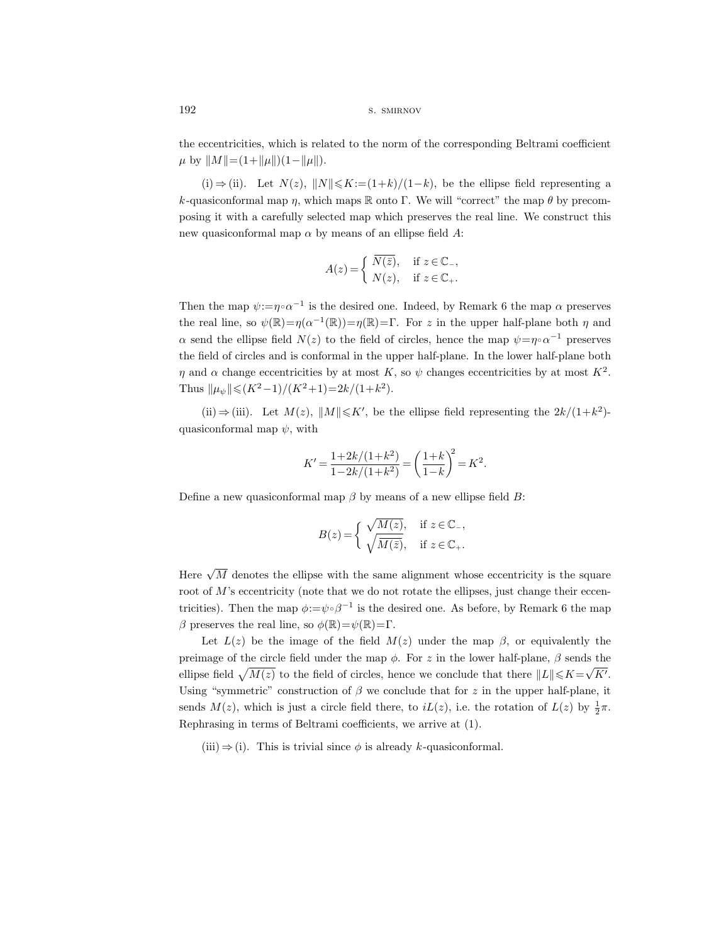the eccentricities, which is related to the norm of the corresponding Beltrami coefficient  $\mu$  by  $||M||=(1+||\mu||)(1-||\mu||)$ .

(i)  $\Rightarrow$  (ii). Let  $N(z)$ ,  $||N|| \le K := (1+k)/(1-k)$ , be the ellipse field representing a k-quasiconformal map  $\eta$ , which maps R onto Γ. We will "correct" the map  $\theta$  by precomposing it with a carefully selected map which preserves the real line. We construct this new quasiconformal map  $\alpha$  by means of an ellipse field A:

$$
A(z) = \begin{cases} \overline{N(\overline{z})}, & \text{if } z \in \mathbb{C}_{-}, \\ N(z), & \text{if } z \in \mathbb{C}_{+}. \end{cases}
$$

Then the map  $\psi := \eta \circ \alpha^{-1}$  is the desired one. Indeed, by Remark 6 the map  $\alpha$  preserves the real line, so  $\psi(\mathbb{R}) = \eta(\alpha^{-1}(\mathbb{R})) = \eta(\mathbb{R}) = \Gamma$ . For z in the upper half-plane both  $\eta$  and  $\alpha$  send the ellipse field  $N(z)$  to the field of circles, hence the map  $\psi = \eta \circ \alpha^{-1}$  preserves the field of circles and is conformal in the upper half-plane. In the lower half-plane both  $\eta$  and  $\alpha$  change eccentricities by at most K, so  $\psi$  changes eccentricities by at most  $K^2$ . Thus  $\|\mu_{\psi}\| \leqslant (K^2-1)/(K^2+1)=2k/(1+k^2)$ .

(ii)  $\Rightarrow$  (iii). Let  $M(z)$ ,  $||M|| \leq K'$ , be the ellipse field representing the  $2k/(1+k^2)$ quasiconformal map  $\psi$ , with

$$
K' = \frac{1+2k/(1+k^2)}{1-2k/(1+k^2)} = \left(\frac{1+k}{1-k}\right)^2 = K^2.
$$

Define a new quasiconformal map  $\beta$  by means of a new ellipse field B:

$$
B(z) = \begin{cases} \sqrt{M(z)}, & \text{if } z \in \mathbb{C}_{-},\\ \sqrt{M(\bar{z})}, & \text{if } z \in \mathbb{C}_{+}. \end{cases}
$$

Here  $\sqrt{M}$  denotes the ellipse with the same alignment whose eccentricity is the square root of  $M$ 's eccentricity (note that we do not rotate the ellipses, just change their eccentricities). Then the map  $\phi := \psi \circ \beta^{-1}$  is the desired one. As before, by Remark 6 the map β preserves the real line, so  $\phi(\mathbb{R})=\psi(\mathbb{R})=\Gamma$ .

Let  $L(z)$  be the image of the field  $M(z)$  under the map  $\beta$ , or equivalently the preimage of the circle field under the map  $\phi$ . For z in the lower half-plane,  $\beta$  sends the ellipse field  $\sqrt{M(z)}$  to the field of circles, hence we conclude that there  $||L|| \leq K = \sqrt{K'}$ . Using "symmetric" construction of  $\beta$  we conclude that for z in the upper half-plane, it sends  $M(z)$ , which is just a circle field there, to  $iL(z)$ , i.e. the rotation of  $L(z)$  by  $\frac{1}{2}\pi$ . Rephrasing in terms of Beltrami coefficients, we arrive at (1).

(iii)  $\Rightarrow$  (i). This is trivial since  $\phi$  is already k-quasiconformal.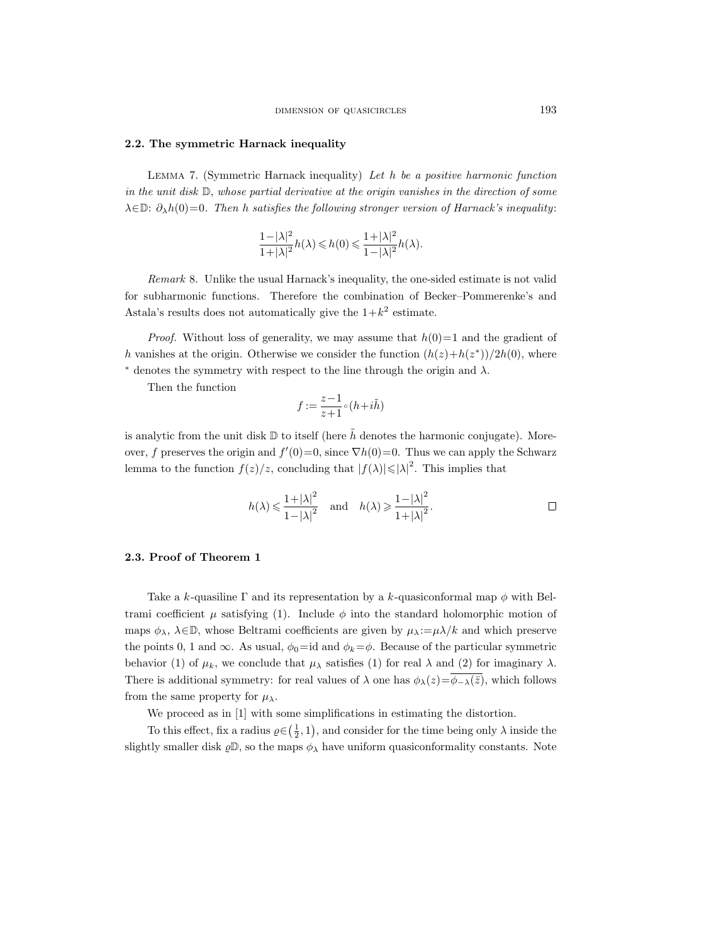#### 2.2. The symmetric Harnack inequality

LEMMA 7. (Symmetric Harnack inequality) Let  $h$  be a positive harmonic function in the unit disk D, whose partial derivative at the origin vanishes in the direction of some  $\lambda \in \mathbb{D}$ :  $\partial_{\lambda}h(0)=0$ . Then h satisfies the following stronger version of Harnack's inequality:

$$
\frac{1-|\lambda|^2}{1+|\lambda|^2}h(\lambda)\leqslant h(0)\leqslant \frac{1+|\lambda|^2}{1-|\lambda|^2}h(\lambda).
$$

Remark 8. Unlike the usual Harnack's inequality, the one-sided estimate is not valid for subharmonic functions. Therefore the combination of Becker–Pommerenke's and Astala's results does not automatically give the  $1+k^2$  estimate.

*Proof.* Without loss of generality, we may assume that  $h(0)=1$  and the gradient of h vanishes at the origin. Otherwise we consider the function  $(h(z) + h(z^*))/2h(0)$ , where  $*$  denotes the symmetry with respect to the line through the origin and  $\lambda$ .

Then the function

$$
f := \frac{z-1}{z+1} \circ (h + i\tilde{h})
$$

is analytic from the unit disk  $\mathbb D$  to itself (here  $\tilde{h}$  denotes the harmonic conjugate). Moreover, f preserves the origin and  $f'(0)=0$ , since  $\nabla h(0)=0$ . Thus we can apply the Schwarz lemma to the function  $f(z)/z$ , concluding that  $|f(\lambda)| \leq |\lambda|^2$ . This implies that

$$
h(\lambda) \leq \frac{1+|\lambda|^2}{1-|\lambda|^2}
$$
 and  $h(\lambda) \geq \frac{1-|\lambda|^2}{1+|\lambda|^2}$ .

#### 2.3. Proof of Theorem 1

Take a k-quasiline  $\Gamma$  and its representation by a k-quasiconformal map  $\phi$  with Beltrami coefficient  $\mu$  satisfying (1). Include  $\phi$  into the standard holomorphic motion of maps  $\phi_{\lambda}, \lambda \in \mathbb{D}$ , whose Beltrami coefficients are given by  $\mu_{\lambda} := \mu \lambda / k$  and which preserve the points 0, 1 and  $\infty$ . As usual,  $\phi_0 = id$  and  $\phi_k = \phi$ . Because of the particular symmetric behavior (1) of  $\mu_k$ , we conclude that  $\mu_\lambda$  satisfies (1) for real  $\lambda$  and (2) for imaginary  $\lambda$ . There is additional symmetry: for real values of  $\lambda$  one has  $\phi_{\lambda}(z)=\phi_{-\lambda}(\bar{z}),$  which follows from the same property for  $\mu_{\lambda}$ .

We proceed as in [1] with some simplifications in estimating the distortion.

To this effect, fix a radius  $\varrho \in (\frac{1}{2}, 1)$ , and consider for the time being only  $\lambda$  inside the slightly smaller disk  $\varrho \mathbb{D}$ , so the maps  $\phi_{\lambda}$  have uniform quasiconformality constants. Note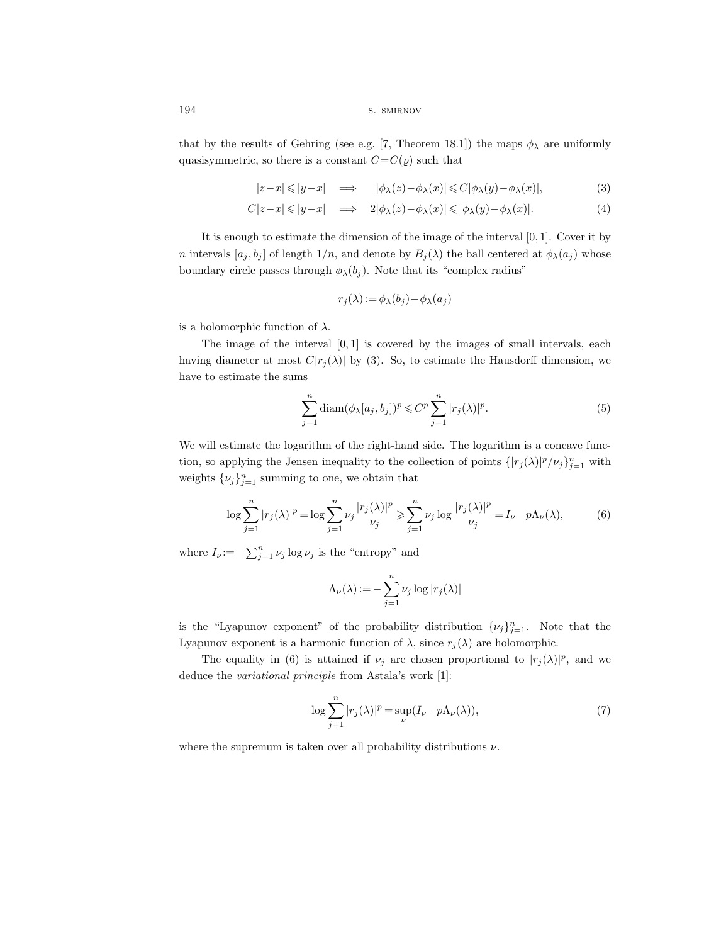194 s. SMIRNOV

that by the results of Gehring (see e.g. [7, Theorem 18.1]) the maps  $\phi_{\lambda}$  are uniformly quasisymmetric, so there is a constant  $C=C(\varrho)$  such that

$$
|z-x| \le |y-x| \quad \Longrightarrow \quad |\phi_{\lambda}(z) - \phi_{\lambda}(x)| \le C|\phi_{\lambda}(y) - \phi_{\lambda}(x)|,\tag{3}
$$

$$
C|z-x| \leq |y-x| \quad \Longrightarrow \quad 2|\phi_{\lambda}(z) - \phi_{\lambda}(x)| \leq |\phi_{\lambda}(y) - \phi_{\lambda}(x)|. \tag{4}
$$

It is enough to estimate the dimension of the image of the interval  $[0, 1]$ . Cover it by n intervals  $[a_j, b_j]$  of length  $1/n$ , and denote by  $B_j(\lambda)$  the ball centered at  $\phi_\lambda(a_j)$  whose boundary circle passes through  $\phi_{\lambda}(b_j)$ . Note that its "complex radius"

$$
r_j(\lambda) := \phi_{\lambda}(b_j) - \phi_{\lambda}(a_j)
$$

is a holomorphic function of  $\lambda$ .

The image of the interval  $[0, 1]$  is covered by the images of small intervals, each having diameter at most  $C|r_i(\lambda)|$  by (3). So, to estimate the Hausdorff dimension, we have to estimate the sums

$$
\sum_{j=1}^{n} \operatorname{diam}(\phi_{\lambda}[a_j, b_j])^p \leq C^p \sum_{j=1}^{n} |r_j(\lambda)|^p.
$$
 (5)

We will estimate the logarithm of the right-hand side. The logarithm is a concave function, so applying the Jensen inequality to the collection of points  $\{ |r_j(\lambda)|^p / \nu_j \}_{j=1}^n$  with weights  $\{\nu_j\}_{j=1}^n$  summing to one, we obtain that

$$
\log \sum_{j=1}^{n} |r_j(\lambda)|^p = \log \sum_{j=1}^{n} \nu_j \frac{|r_j(\lambda)|^p}{\nu_j} \ge \sum_{j=1}^{n} \nu_j \log \frac{|r_j(\lambda)|^p}{\nu_j} = I_\nu - p\Lambda_\nu(\lambda),\tag{6}
$$

where  $I_{\nu} := -\sum_{j=1}^{n} \nu_j \log \nu_j$  is the "entropy" and

$$
\Lambda_{\nu}(\lambda) := -\sum_{j=1}^{n} \nu_j \log |r_j(\lambda)|
$$

is the "Lyapunov exponent" of the probability distribution  $\{\nu_j\}_{j=1}^n$ . Note that the Lyapunov exponent is a harmonic function of  $\lambda$ , since  $r_j(\lambda)$  are holomorphic.

The equality in (6) is attained if  $\nu_j$  are chosen proportional to  $|r_j(\lambda)|^p$ , and we deduce the variational principle from Astala's work [1]:

$$
\log \sum_{j=1}^{n} |r_j(\lambda)|^p = \sup_{\nu} (I_{\nu} - p\Lambda_{\nu}(\lambda)),
$$
\n(7)

where the supremum is taken over all probability distributions  $\nu$ .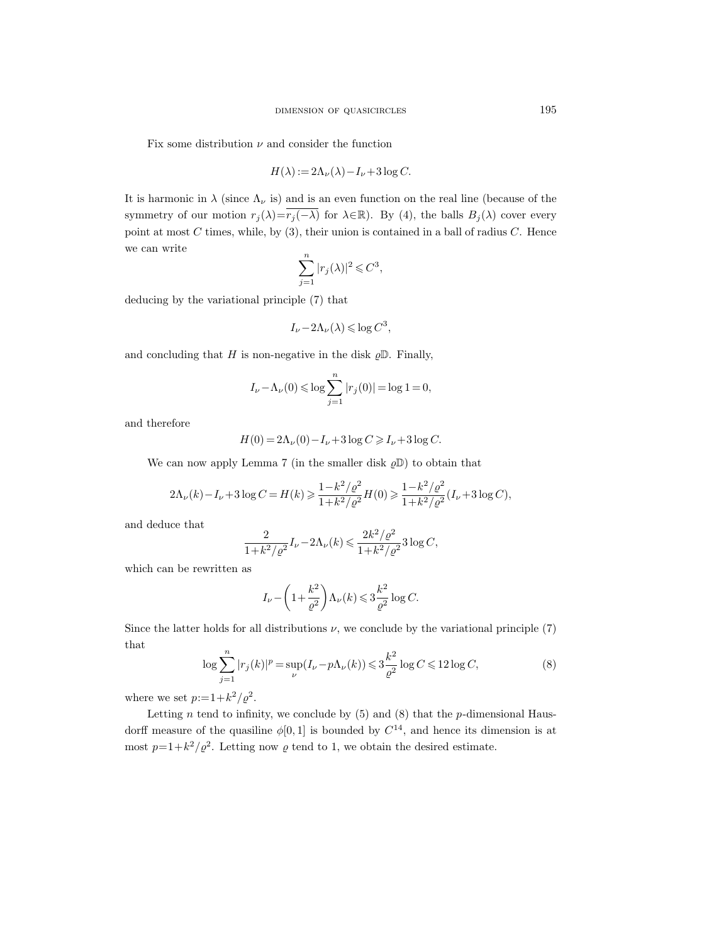Fix some distribution  $\nu$  and consider the function

$$
H(\lambda) := 2\Lambda_{\nu}(\lambda) - I_{\nu} + 3\log C.
$$

It is harmonic in  $\lambda$  (since  $\Lambda_{\nu}$  is) and is an even function on the real line (because of the symmetry of our motion  $r_j(\lambda) = \overline{r_j(-\lambda)}$  for  $\lambda \in \mathbb{R}$ ). By (4), the balls  $B_j(\lambda)$  cover every point at most  $C$  times, while, by  $(3)$ , their union is contained in a ball of radius  $C$ . Hence we can write

$$
\sum_{j=1}^{n} |r_j(\lambda)|^2 \leqslant C^3,
$$

deducing by the variational principle (7) that

$$
I_{\nu} - 2\Lambda_{\nu}(\lambda) \leq \log C^3,
$$

and concluding that H is non-negative in the disk  $\rho \mathbb{D}$ . Finally,

$$
I_{\nu} - \Lambda_{\nu}(0) \le \log \sum_{j=1}^{n} |r_j(0)| = \log 1 = 0,
$$

and therefore

$$
H(0) = 2\Lambda_{\nu}(0) - I_{\nu} + 3\log C \ge I_{\nu} + 3\log C.
$$

We can now apply Lemma 7 (in the smaller disk  $\varrho\mathbb{D}$ ) to obtain that

$$
2\Lambda_{\nu}(k) - I_{\nu} + 3\log C = H(k) \ge \frac{1 - k^2/\varrho^2}{1 + k^2/\varrho^2} H(0) \ge \frac{1 - k^2/\varrho^2}{1 + k^2/\varrho^2} (I_{\nu} + 3\log C),
$$

and deduce that

$$
\frac{2}{1+k^2/\varrho^2}I_{\nu}-2\Lambda_{\nu}(k)\leqslant \frac{2k^2/\varrho^2}{1+k^2/\varrho^2}3\log C,
$$

which can be rewritten as

$$
I_{\nu} - \left(1 + \frac{k^2}{\varrho^2}\right) \Lambda_{\nu}(k) \leqslant 3 \frac{k^2}{\varrho^2} \log C.
$$

Since the latter holds for all distributions  $\nu$ , we conclude by the variational principle (7) that

$$
\log \sum_{j=1}^{n} |r_j(k)|^p = \sup_{\nu} (I_{\nu} - p\Lambda_{\nu}(k)) \leq 3\frac{k^2}{\varrho^2} \log C \leq 12 \log C,\tag{8}
$$

where we set  $p:=1+k^2/\varrho^2$ .

Letting  $n$  tend to infinity, we conclude by (5) and (8) that the  $p$ -dimensional Hausdorff measure of the quasiline  $\phi[0,1]$  is bounded by  $C^{14}$ , and hence its dimension is at most  $p=1+k^2/\varrho^2$ . Letting now  $\varrho$  tend to 1, we obtain the desired estimate.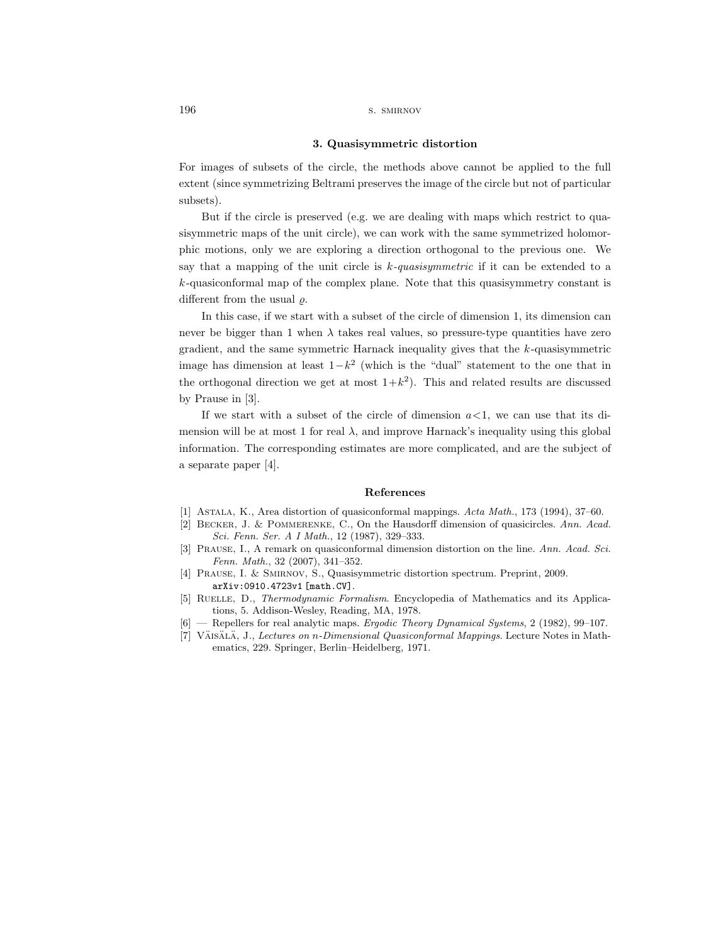196 s. SMIRNOV

#### 3. Quasisymmetric distortion

For images of subsets of the circle, the methods above cannot be applied to the full extent (since symmetrizing Beltrami preserves the image of the circle but not of particular subsets).

But if the circle is preserved (e.g. we are dealing with maps which restrict to quasisymmetric maps of the unit circle), we can work with the same symmetrized holomorphic motions, only we are exploring a direction orthogonal to the previous one. We say that a mapping of the unit circle is  $k$ -quasisymmetric if it can be extended to a k-quasiconformal map of the complex plane. Note that this quasisymmetry constant is different from the usual  $\rho$ .

In this case, if we start with a subset of the circle of dimension 1, its dimension can never be bigger than 1 when  $\lambda$  takes real values, so pressure-type quantities have zero gradient, and the same symmetric Harnack inequality gives that the k-quasisymmetric image has dimension at least  $1-k^2$  (which is the "dual" statement to the one that in the orthogonal direction we get at most  $1+k^2$ ). This and related results are discussed by Prause in [3].

If we start with a subset of the circle of dimension  $a < 1$ , we can use that its dimension will be at most 1 for real  $\lambda$ , and improve Harnack's inequality using this global information. The corresponding estimates are more complicated, and are the subject of a separate paper [4].

#### References

- [1] Astala, K., Area distortion of quasiconformal mappings. Acta Math., 173 (1994), 37–60.
- [2] Becker, J. & Pommerenke, C., On the Hausdorff dimension of quasicircles. Ann. Acad. Sci. Fenn. Ser. A I Math., 12 (1987), 329–333.
- [3] PRAUSE, I., A remark on quasiconformal dimension distortion on the line. Ann. Acad. Sci. Fenn. Math., 32 (2007), 341–352.
- [4] Prause, I. & Smirnov, S., Quasisymmetric distortion spectrum. Preprint, 2009. arXiv:0910.4723v1 [math.CV].
- [5] RUELLE, D., *Thermodynamic Formalism*. Encyclopedia of Mathematics and its Applications, 5. Addison-Wesley, Reading, MA, 1978.
- [6] Repellers for real analytic maps. Ergodic Theory Dynamical Systems, 2 (1982), 99–107.
- [7] VÄISÄLÄ, J., Lectures on n-Dimensional Quasiconformal Mappings. Lecture Notes in Mathematics, 229. Springer, Berlin–Heidelberg, 1971.